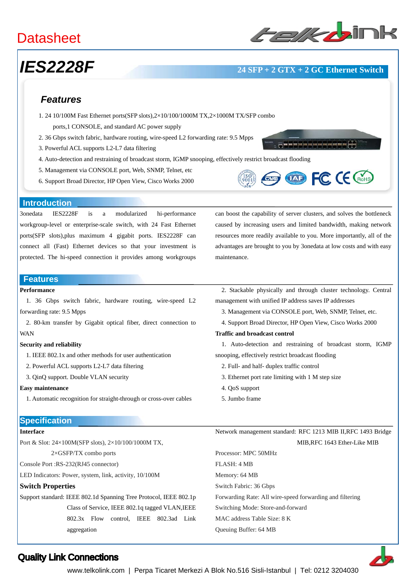# **Datasheet**

## *IES2228F* **24 SFP + 2 GTX + 2 GC Ethernet Switch**

### *Features*

- 1. 24 10/100M Fast Ethernet ports(SFP slots),2×10/100/1000M TX,2×1000M TX/SFP combo
	- ports,1 CONSOLE, and standard AC power supply
- 2. 36 Gbps switch fabric, hardware routing, wire-speed L2 forwarding rate: 9.5 Mpps
- 3. Powerful ACL supports L2-L7 data filtering
- 4. Auto-detection and restraining of broadcast storm, IGMP snooping, effectively restrict broadcast flooding
- 5. Management via CONSOLE port, Web, SNMP, Telnet, etc
- 6. Support Broad Director, HP Open View, Cisco Works 2000



**THEREAREARES** 

#### **Introduction**

3onedata IES2228F is a modularized hi-performance workgroup-level or enterprise-scale switch, with 24 Fast Ethernet ports(SFP slots),plus maximum 4 gigabit ports. IES2228F can connect all (Fast) Ethernet devices so that your investment is protected. The hi-speed connection it provides among workgroups

#### **Features**

### **Performance**

1. 36 Gbps switch fabric, hardware routing, wire-speed L2 forwarding rate: 9.5 Mpps

2. 80-km transfer by Gigabit optical fiber, direct connection to WAN

#### **Security and reliability**

1. IEEE 802.1x and other methods for user authentication

- 2. Powerful ACL supports L2-L7 data filtering
- 3. QinQ support. Double VLAN security

#### **Easy maintenance**

1. Automatic recognition for straight-through or cross-over cables

#### **Specification**

#### **Interface**

Port & Slot: 24×100M(SFP slots), 2×10/100/1000M TX, 2×GSFP/TX combo ports

Console Port :RS-232(RJ45 connector)

LED Indicators: Power, system, link, activity, 10/100M

#### **Switch Properties**

Support standard: IEEE 802.1d Spanning Tree Protocol, IEEE 802.1p Class of Service, IEEE 802.1q tagged VLAN,IEEE 802.3x Flow control, IEEE 802.3ad Link aggregation

can boost the capability of server clusters, and solves the bottleneck caused by increasing users and limited bandwidth, making network resources more readily available to you. More importantly, all of the advantages are brought to you by 3onedata at low costs and with easy maintenance.

2. Stackable physically and through cluster technology. Central management with unified IP address saves IP addresses

- 3. Management via CONSOLE port, Web, SNMP, Telnet, etc.
- 4. Support Broad Director, HP Open View, Cisco Works 2000

#### **Traffic and broadcast control**

1. Auto-detection and restraining of broadcast storm, IGMP snooping, effectively restrict broadcast flooding

- 2. Full- and half- duplex traffic control
- 3. Ethernet port rate limiting with 1 M step size
- 4. QoS support
- 5. Jumbo frame

Network management standard: RFC 1213 MIB II,RFC 1493 Bridge MIB,RFC 1643 Ether-Like MIB

Processor: MPC 50MHz FLASH: 4 MB Memory: 64 MB Switch Fabric: 36 Gbps Forwarding Rate: All wire-speed forwarding and filtering Switching Mode: Store-and-forward MAC address Table Size: 8 K Queuing Buffer: 64 MB



### Quality Link Connections